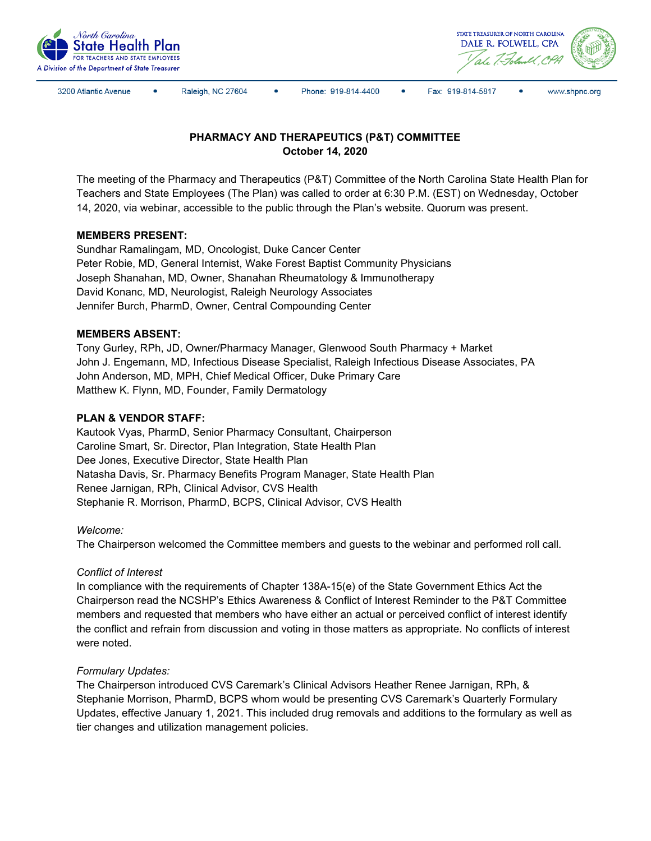



3200 Atlantic Avenue

Raleigh, NC 27604

Phone: 919-814-4400

 $\bullet$ Fax: 919-814-5817 www.shpnc.org

# **PHARMACY AND THERAPEUTICS (P&T) COMMITTEE October 14, 2020**

The meeting of the Pharmacy and Therapeutics (P&T) Committee of the North Carolina State Health Plan for Teachers and State Employees (The Plan) was called to order at 6:30 P.M. (EST) on Wednesday, October 14, 2020, via webinar, accessible to the public through the Plan's website. Quorum was present.

## **MEMBERS PRESENT:**

Sundhar Ramalingam, MD, Oncologist, Duke Cancer Center Peter Robie, MD, General Internist, Wake Forest Baptist Community Physicians Joseph Shanahan, MD, Owner, Shanahan Rheumatology & Immunotherapy David Konanc, MD, Neurologist, Raleigh Neurology Associates Jennifer Burch, PharmD, Owner, Central Compounding Center

## **MEMBERS ABSENT:**

Tony Gurley, RPh, JD, Owner/Pharmacy Manager, Glenwood South Pharmacy + Market John J. Engemann, MD, Infectious Disease Specialist, Raleigh Infectious Disease Associates, PA John Anderson, MD, MPH, Chief Medical Officer, Duke Primary Care Matthew K. Flynn, MD, Founder, Family Dermatology

## **PLAN & VENDOR STAFF:**

Kautook Vyas, PharmD, Senior Pharmacy Consultant, Chairperson Caroline Smart, Sr. Director, Plan Integration, State Health Plan Dee Jones, Executive Director, State Health Plan Natasha Davis, Sr. Pharmacy Benefits Program Manager, State Health Plan Renee Jarnigan, RPh, Clinical Advisor, CVS Health Stephanie R. Morrison, PharmD, BCPS, Clinical Advisor, CVS Health

#### *Welcome:*

The Chairperson welcomed the Committee members and guests to the webinar and performed roll call.

## *Conflict of Interest*

In compliance with the requirements of Chapter 138A-15(e) of the State Government Ethics Act the Chairperson read the NCSHP's Ethics Awareness & Conflict of Interest Reminder to the P&T Committee members and requested that members who have either an actual or perceived conflict of interest identify the conflict and refrain from discussion and voting in those matters as appropriate. No conflicts of interest were noted.

#### *Formulary Updates:*

The Chairperson introduced CVS Caremark's Clinical Advisors Heather Renee Jarnigan, RPh, & Stephanie Morrison, PharmD, BCPS whom would be presenting CVS Caremark's Quarterly Formulary Updates, effective January 1, 2021. This included drug removals and additions to the formulary as well as tier changes and utilization management policies.